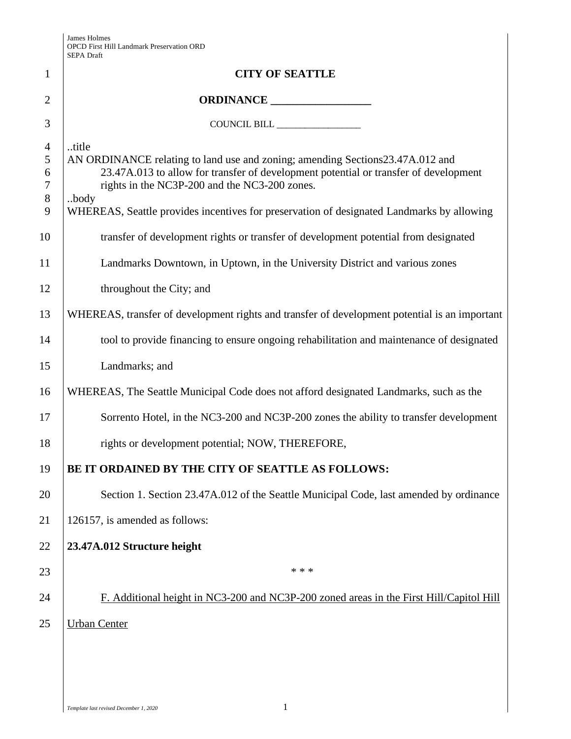|                                         | SEPA Drait                                                                                                                                                                                                                                                                                                                           |
|-----------------------------------------|--------------------------------------------------------------------------------------------------------------------------------------------------------------------------------------------------------------------------------------------------------------------------------------------------------------------------------------|
| $\mathbf{1}$                            | <b>CITY OF SEATTLE</b>                                                                                                                                                                                                                                                                                                               |
| $\overline{2}$                          |                                                                                                                                                                                                                                                                                                                                      |
| 3                                       |                                                                                                                                                                                                                                                                                                                                      |
| $\overline{4}$<br>5<br>6<br>7<br>8<br>9 | title<br>AN ORDINANCE relating to land use and zoning; amending Sections23.47A.012 and<br>23.47A.013 to allow for transfer of development potential or transfer of development<br>rights in the NC3P-200 and the NC3-200 zones.<br>body<br>WHEREAS, Seattle provides incentives for preservation of designated Landmarks by allowing |
| 10                                      | transfer of development rights or transfer of development potential from designated                                                                                                                                                                                                                                                  |
| 11<br>12                                | Landmarks Downtown, in Uptown, in the University District and various zones<br>throughout the City; and                                                                                                                                                                                                                              |
| 13                                      | WHEREAS, transfer of development rights and transfer of development potential is an important                                                                                                                                                                                                                                        |
| 14                                      | tool to provide financing to ensure ongoing rehabilitation and maintenance of designated                                                                                                                                                                                                                                             |
| 15                                      | Landmarks; and                                                                                                                                                                                                                                                                                                                       |
| 16                                      | WHEREAS, The Seattle Municipal Code does not afford designated Landmarks, such as the                                                                                                                                                                                                                                                |
| 17                                      | Sorrento Hotel, in the NC3-200 and NC3P-200 zones the ability to transfer development                                                                                                                                                                                                                                                |
| 18                                      | rights or development potential; NOW, THEREFORE,                                                                                                                                                                                                                                                                                     |
| 19                                      | BE IT ORDAINED BY THE CITY OF SEATTLE AS FOLLOWS:                                                                                                                                                                                                                                                                                    |
| 20                                      | Section 1. Section 23.47A.012 of the Seattle Municipal Code, last amended by ordinance                                                                                                                                                                                                                                               |
| 21                                      | 126157, is amended as follows:                                                                                                                                                                                                                                                                                                       |
| 22                                      | 23.47A.012 Structure height                                                                                                                                                                                                                                                                                                          |
| 23                                      | * * *                                                                                                                                                                                                                                                                                                                                |
| 24                                      | F. Additional height in NC3-200 and NC3P-200 zoned areas in the First Hill/Capitol Hill                                                                                                                                                                                                                                              |
| 25                                      | <b>Urban Center</b>                                                                                                                                                                                                                                                                                                                  |
|                                         |                                                                                                                                                                                                                                                                                                                                      |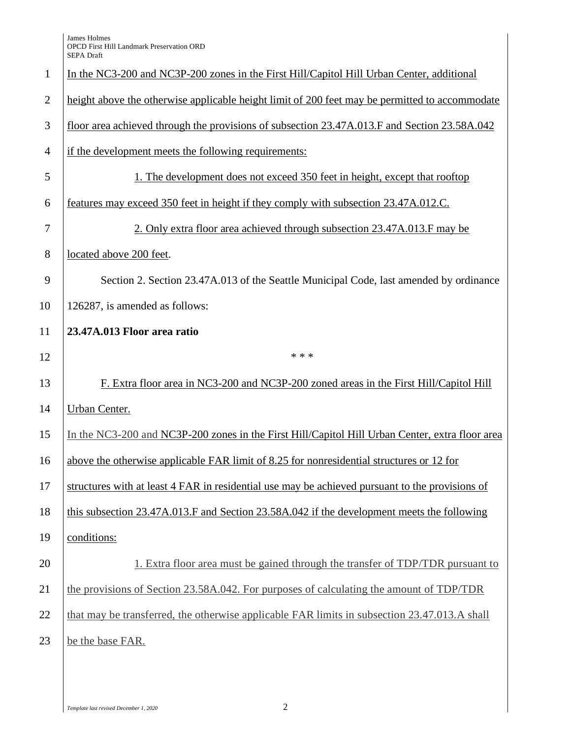James Holmes OPCD First Hill Landmark Preservation ORD SEPA Draft

| $\mathbf{1}$   | In the NC3-200 and NC3P-200 zones in the First Hill/Capitol Hill Urban Center, additional       |
|----------------|-------------------------------------------------------------------------------------------------|
| $\overline{2}$ | height above the otherwise applicable height limit of 200 feet may be permitted to accommodate  |
| 3              | floor area achieved through the provisions of subsection 23.47A.013.F and Section 23.58A.042    |
| $\overline{4}$ | if the development meets the following requirements:                                            |
| 5              | 1. The development does not exceed 350 feet in height, except that rooftop                      |
| 6              | features may exceed 350 feet in height if they comply with subsection 23.47A.012.C.             |
| 7              | 2. Only extra floor area achieved through subsection 23.47A.013.F may be                        |
| 8              | located above 200 feet.                                                                         |
| 9              | Section 2. Section 23.47A.013 of the Seattle Municipal Code, last amended by ordinance          |
| 10             | 126287, is amended as follows:                                                                  |
| 11             | 23.47A.013 Floor area ratio                                                                     |
| 12             | * * *                                                                                           |
| 13             | F. Extra floor area in NC3-200 and NC3P-200 zoned areas in the First Hill/Capitol Hill          |
| 14             | <b>Urban Center.</b>                                                                            |
| 15             | In the NC3-200 and NC3P-200 zones in the First Hill/Capitol Hill Urban Center, extra floor area |
| 16             | above the otherwise applicable FAR limit of 8.25 for nonresidential structures or 12 for        |
| 17             | structures with at least 4 FAR in residential use may be achieved pursuant to the provisions of |
| 18             | this subsection 23.47A.013.F and Section 23.58A.042 if the development meets the following      |
| 19             | conditions:                                                                                     |
| 20             | 1. Extra floor area must be gained through the transfer of TDP/TDR pursuant to                  |
| 21             | the provisions of Section 23.58A.042. For purposes of calculating the amount of TDP/TDR         |
| 22             | that may be transferred, the otherwise applicable FAR limits in subsection 23.47.013.A shall    |
| 23             | be the base FAR.                                                                                |
|                |                                                                                                 |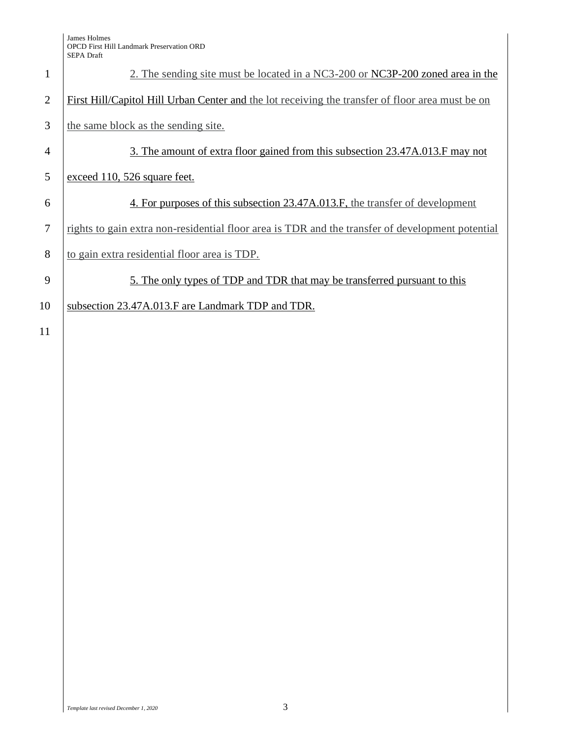James Holmes OPCD First Hill Landmark Preservation ORD SEPA Draft

| $\mathbf{1}$   | 2. The sending site must be located in a NC3-200 or NC3P-200 zoned area in the                   |
|----------------|--------------------------------------------------------------------------------------------------|
| 2              | First Hill/Capitol Hill Urban Center and the lot receiving the transfer of floor area must be on |
| 3              | the same block as the sending site.                                                              |
| 4              | 3. The amount of extra floor gained from this subsection 23.47A.013.F may not                    |
| 5              | exceed 110, 526 square feet.                                                                     |
| 6              | 4. For purposes of this subsection 23.47A.013.F, the transfer of development                     |
| $\overline{7}$ | rights to gain extra non-residential floor area is TDR and the transfer of development potential |
| 8              | to gain extra residential floor area is TDP.                                                     |
| 9              | 5. The only types of TDP and TDR that may be transferred pursuant to this                        |
| 10             | subsection 23.47A.013.F are Landmark TDP and TDR.                                                |
| 11             |                                                                                                  |